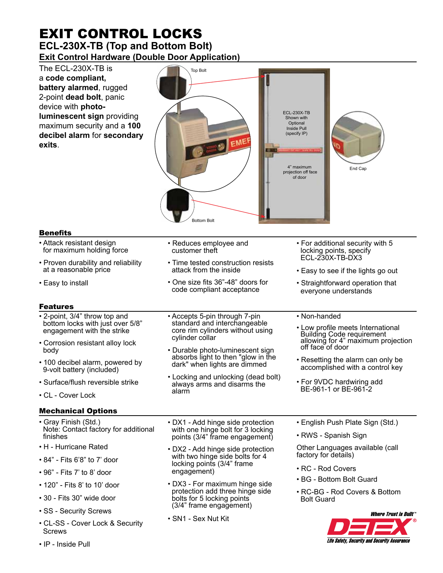# EXIT CONTROL LOCKS **ECL-230X-TB (Top and Bottom Bolt) Exit Control Hardware (Double Door Application)**

The ECL-230X-TB is a **code compliant, battery alarmed**, rugged 2-point **dead bolt**, panic device with **photoluminescent sign** providing maximum security and a **100 decibel alarm** for **secondary exits**.



# Benefits

- Attack resistant design for maximum holding force
- Proven durability and reliability at a reasonable price
- Easy to install

# Features

- 2-point, 3/4" throw top and bottom locks with just over 5/8" engagement with the strike
- Corrosion resistant alloy lock body
- 100 decibel alarm, powered by 9-volt battery (included)
- Surface/flush reversible strike
- CL Cover Lock

## Mechanical Options

- Gray Finish (Std.) Note: Contact factory for additional finishes
- H Hurricane Rated
- 84" Fits 6'8" to 7' door
- 96" Fits 7' to 8' door
- 120" Fits 8' to 10' door
- 30 Fits 30" wide door
- SS Security Screws
- CL-SS Cover Lock & Security **Screws**
- IP Inside Pull

• Accepts 5-pin through 7-pin standard and interchangeable core rim cylinders without using

• Time tested construction resists

• One size fits 36"-48" doors for code compliant acceptance

• Reduces employee and

attack from the inside

customer theft

cylinder collar

- Durable photo-luminescent sign absorbs light to then "glow in the dark" when lights are dimmed
- Locking and unlocking (dead bolt) always arms and disarms the alarm

• DX1 - Add hinge side protection with one hinge bolt for 3 locking points (3/4" frame engagement)

- DX2 Add hinge side protection with two hinge side bolts for 4 locking points (3/4" frame engagement)
- DX3 For maximum hinge side protection add three hinge side bolts for 5 locking points (3/4" frame engagement)
- SN1 Sex Nut Kit

• English Push Plate Sign (Std.)

• For additional security with 5 locking points, specify ECL-230X-TB-DX3

• Easy to see if the lights go out • Straightforward operation that everyone understands

• Low profile meets International Building Code requirement allowing for 4" maximum projection

• Resetting the alarm can only be accomplished with a control key

• For 9VDC hardwiring add BE-961-1 or BE-961-2

• RWS - Spanish Sign

• Non-handed

off face of door

Other Languages available (call factory for details)

- RC Rod Covers
- BG Bottom Bolt Guard
- RC-BG Rod Covers & Bottom Bolt Guard